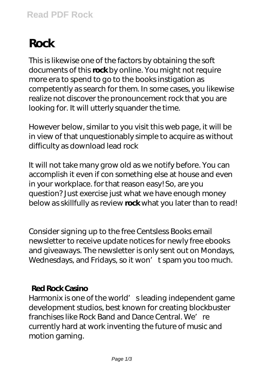# **Rock**

This is likewise one of the factors by obtaining the soft documents of this **rock** by online. You might not require more era to spend to go to the books instigation as competently as search for them. In some cases, you likewise realize not discover the pronouncement rock that you are looking for. It will utterly squander the time.

However below, similar to you visit this web page, it will be in view of that unquestionably simple to acquire as without difficulty as download lead rock

It will not take many grow old as we notify before. You can accomplish it even if con something else at house and even in your workplace. for that reason easy! So, are you question? Just exercise just what we have enough money below as skillfully as review **rock** what you later than to read!

Consider signing up to the free Centsless Books email newsletter to receive update notices for newly free ebooks and giveaways. The newsletter is only sent out on Mondays, Wednesdays, and Fridays, so it won't spam you too much.

## **Red Rock Casino**

Harmonix is one of the world' sleading independent game development studios, best known for creating blockbuster franchises like Rock Band and Dance Central. We're currently hard at work inventing the future of music and motion gaming.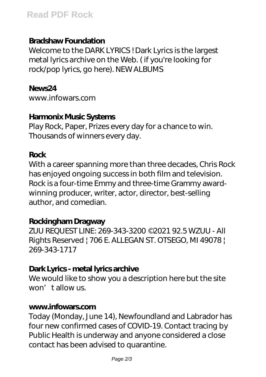# **Bradshaw Foundation**

Welcome to the DARK LYRICS ! Dark Lyrics is the largest metal lyrics archive on the Web. ( if you're looking for rock/pop lyrics, go here). NEW ALBUMS

### **News24**

www.infowars.com

# **Harmonix Music Systems**

Play Rock, Paper, Prizes every day for a chance to win. Thousands of winners every day.

# **Rock**

With a career spanning more than three decades, Chris Rock has enjoyed ongoing success in both film and television. Rock is a four-time Emmy and three-time Grammy awardwinning producer, writer, actor, director, best-selling author, and comedian.

## **Rockingham Dragway**

ZUU REQUEST LINE: 269-343-3200 ©2021 92.5 WZUU - All Rights Reserved | 706 E. ALLEGAN ST. OTSEGO, MI 49078 | 269-343-1717

# **Dark Lyrics - metal lyrics archive**

We would like to show you a description here but the site won't allow us.

#### **www.infowars.com**

Today (Monday, June 14), Newfoundland and Labrador has four new confirmed cases of COVID-19. Contact tracing by Public Health is underway and anyone considered a close contact has been advised to quarantine.